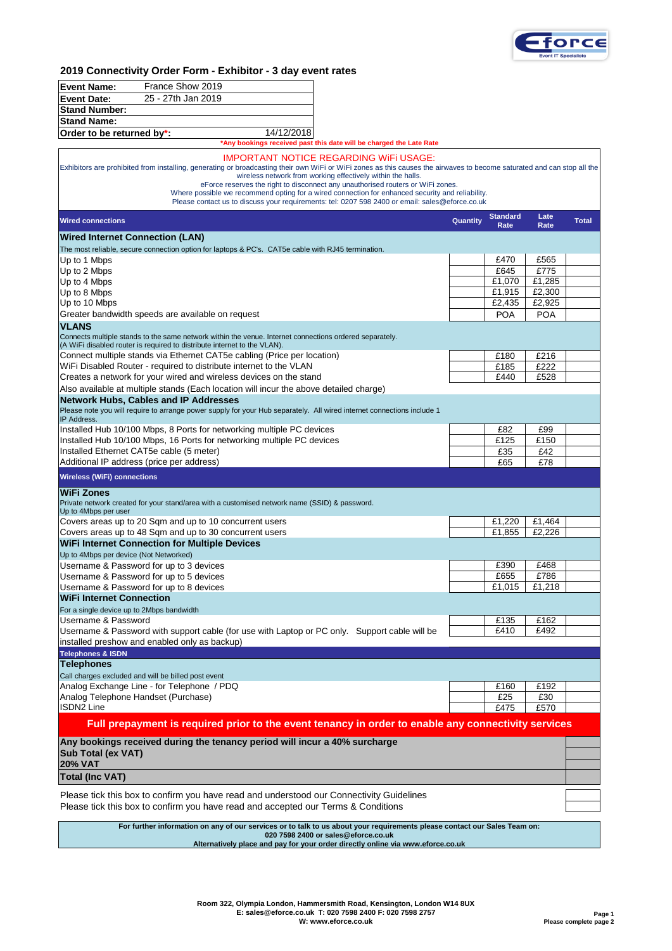

## **2019 Connectivity Order Form - Exhibitor - 3 day event rates**

| France Show 2019<br><b>Event Name:</b>                                                                                                                                                                                                                                                                                                                                         |                                                                                                                                                                                                 |          |                 |            |              |  |
|--------------------------------------------------------------------------------------------------------------------------------------------------------------------------------------------------------------------------------------------------------------------------------------------------------------------------------------------------------------------------------|-------------------------------------------------------------------------------------------------------------------------------------------------------------------------------------------------|----------|-----------------|------------|--------------|--|
| 25 - 27th Jan 2019<br><b>Event Date:</b>                                                                                                                                                                                                                                                                                                                                       |                                                                                                                                                                                                 |          |                 |            |              |  |
| <b>Stand Number:</b>                                                                                                                                                                                                                                                                                                                                                           |                                                                                                                                                                                                 |          |                 |            |              |  |
| <b>Stand Name:</b>                                                                                                                                                                                                                                                                                                                                                             |                                                                                                                                                                                                 |          |                 |            |              |  |
| 14/12/2018<br>Order to be returned by*:                                                                                                                                                                                                                                                                                                                                        |                                                                                                                                                                                                 |          |                 |            |              |  |
|                                                                                                                                                                                                                                                                                                                                                                                | *Any bookings received past this date will be charged the Late Rate                                                                                                                             |          |                 |            |              |  |
| Exhibitors are prohibited from installing, generating or broadcasting their own WiFi or WiFi zones as this causes the airwaves to become saturated and can stop all the<br>Where possible we recommend opting for a wired connection for enhanced security and reliability.<br>Please contact us to discuss your requirements: tel: 0207 598 2400 or email: sales@eforce.co.uk | <b>IMPORTANT NOTICE REGARDING WIFI USAGE:</b><br>wireless network from working effectively within the halls.<br>eForce reserves the right to disconnect any unauthorised routers or WiFi zones. |          |                 |            |              |  |
| <b>Wired connections</b>                                                                                                                                                                                                                                                                                                                                                       |                                                                                                                                                                                                 | Quantity | <b>Standard</b> | Late       | <b>Total</b> |  |
|                                                                                                                                                                                                                                                                                                                                                                                |                                                                                                                                                                                                 |          | Rate            | Rate       |              |  |
| <b>Wired Internet Connection (LAN)</b>                                                                                                                                                                                                                                                                                                                                         |                                                                                                                                                                                                 |          |                 |            |              |  |
| The most reliable, secure connection option for laptops & PC's. CAT5e cable with RJ45 termination.<br>Up to 1 Mbps                                                                                                                                                                                                                                                             |                                                                                                                                                                                                 |          | £470            | £565       |              |  |
| Up to 2 Mbps                                                                                                                                                                                                                                                                                                                                                                   |                                                                                                                                                                                                 |          | £645            | £775       |              |  |
| Up to 4 Mbps                                                                                                                                                                                                                                                                                                                                                                   |                                                                                                                                                                                                 |          | £1,070          | £1,285     |              |  |
| Up to 8 Mbps                                                                                                                                                                                                                                                                                                                                                                   |                                                                                                                                                                                                 |          | £1,915          | £2,300     |              |  |
| Up to 10 Mbps                                                                                                                                                                                                                                                                                                                                                                  |                                                                                                                                                                                                 |          | £2,435          | £2,925     |              |  |
| Greater bandwidth speeds are available on request                                                                                                                                                                                                                                                                                                                              |                                                                                                                                                                                                 |          | <b>POA</b>      | <b>POA</b> |              |  |
| <b>VLANS</b>                                                                                                                                                                                                                                                                                                                                                                   |                                                                                                                                                                                                 |          |                 |            |              |  |
| Connects multiple stands to the same network within the venue. Internet connections ordered separately.<br>(A WiFi disabled router is required to distribute internet to the VLAN).                                                                                                                                                                                            |                                                                                                                                                                                                 |          |                 |            |              |  |
| Connect multiple stands via Ethernet CAT5e cabling (Price per location)                                                                                                                                                                                                                                                                                                        |                                                                                                                                                                                                 |          | £180            | £216       |              |  |
| WiFi Disabled Router - required to distribute internet to the VLAN                                                                                                                                                                                                                                                                                                             |                                                                                                                                                                                                 |          | £185            | £222       |              |  |
| Creates a network for your wired and wireless devices on the stand                                                                                                                                                                                                                                                                                                             |                                                                                                                                                                                                 |          | £440            | £528       |              |  |
| Also available at multiple stands (Each location will incur the above detailed charge)                                                                                                                                                                                                                                                                                         |                                                                                                                                                                                                 |          |                 |            |              |  |
| <b>Network Hubs, Cables and IP Addresses</b><br>Please note you will require to arrange power supply for your Hub separately. All wired internet connections include 1<br>IP Address.                                                                                                                                                                                          |                                                                                                                                                                                                 |          |                 |            |              |  |
| Installed Hub 10/100 Mbps, 8 Ports for networking multiple PC devices                                                                                                                                                                                                                                                                                                          |                                                                                                                                                                                                 |          | £82             | £99        |              |  |
| Installed Hub 10/100 Mbps, 16 Ports for networking multiple PC devices                                                                                                                                                                                                                                                                                                         |                                                                                                                                                                                                 |          | £125            | £150       |              |  |
| Installed Ethernet CAT5e cable (5 meter)                                                                                                                                                                                                                                                                                                                                       |                                                                                                                                                                                                 |          | £35             | £42        |              |  |
| Additional IP address (price per address)                                                                                                                                                                                                                                                                                                                                      |                                                                                                                                                                                                 |          | £65             | £78        |              |  |
| <b>Wireless (WiFi) connections</b>                                                                                                                                                                                                                                                                                                                                             |                                                                                                                                                                                                 |          |                 |            |              |  |
|                                                                                                                                                                                                                                                                                                                                                                                |                                                                                                                                                                                                 |          |                 |            |              |  |
| <b>WiFi Zones</b>                                                                                                                                                                                                                                                                                                                                                              |                                                                                                                                                                                                 |          |                 |            |              |  |
| Private network created for your stand/area with a customised network name (SSID) & password.<br>Up to 4Mbps per user                                                                                                                                                                                                                                                          |                                                                                                                                                                                                 |          |                 |            |              |  |
| Covers areas up to 20 Sqm and up to 10 concurrent users                                                                                                                                                                                                                                                                                                                        |                                                                                                                                                                                                 |          | £1,220          | £1,464     |              |  |
| Covers areas up to 48 Sqm and up to 30 concurrent users                                                                                                                                                                                                                                                                                                                        |                                                                                                                                                                                                 |          | £1,855          | £2,226     |              |  |
| <b>WiFi Internet Connection for Multiple Devices</b>                                                                                                                                                                                                                                                                                                                           |                                                                                                                                                                                                 |          |                 |            |              |  |
| Up to 4Mbps per device (Not Networked)                                                                                                                                                                                                                                                                                                                                         |                                                                                                                                                                                                 |          |                 |            |              |  |
| Username & Password for up to 3 devices                                                                                                                                                                                                                                                                                                                                        |                                                                                                                                                                                                 |          | £390            | £468       |              |  |
| Username & Password for up to 5 devices                                                                                                                                                                                                                                                                                                                                        |                                                                                                                                                                                                 |          | £655            | £786       |              |  |
| Username & Password for up to 8 devices                                                                                                                                                                                                                                                                                                                                        |                                                                                                                                                                                                 |          | £1,015 £1,218   |            |              |  |
| <b>WiFi Internet Connection</b>                                                                                                                                                                                                                                                                                                                                                |                                                                                                                                                                                                 |          |                 |            |              |  |
| For a single device up to 2Mbps bandwidth                                                                                                                                                                                                                                                                                                                                      |                                                                                                                                                                                                 |          |                 |            |              |  |
| Username & Password                                                                                                                                                                                                                                                                                                                                                            |                                                                                                                                                                                                 |          | £135            | £162       |              |  |
| Username & Password with support cable (for use with Laptop or PC only. Support cable will be                                                                                                                                                                                                                                                                                  |                                                                                                                                                                                                 |          | £410            | £492       |              |  |
| installed preshow and enabled only as backup)                                                                                                                                                                                                                                                                                                                                  |                                                                                                                                                                                                 |          |                 |            |              |  |
| <b>Telephones &amp; ISDN</b>                                                                                                                                                                                                                                                                                                                                                   |                                                                                                                                                                                                 |          |                 |            |              |  |
| <b>Telephones</b>                                                                                                                                                                                                                                                                                                                                                              |                                                                                                                                                                                                 |          |                 |            |              |  |
| Call charges excluded and will be billed post event                                                                                                                                                                                                                                                                                                                            |                                                                                                                                                                                                 |          | £160            | £192       |              |  |
| Analog Exchange Line - for Telephone / PDQ<br>Analog Telephone Handset (Purchase)                                                                                                                                                                                                                                                                                              |                                                                                                                                                                                                 |          | £25             | £30        |              |  |
| <b>ISDN2 Line</b>                                                                                                                                                                                                                                                                                                                                                              |                                                                                                                                                                                                 |          | £475            | £570       |              |  |
|                                                                                                                                                                                                                                                                                                                                                                                |                                                                                                                                                                                                 |          |                 |            |              |  |
| Full prepayment is required prior to the event tenancy in order to enable any connectivity services                                                                                                                                                                                                                                                                            |                                                                                                                                                                                                 |          |                 |            |              |  |
| Any bookings received during the tenancy period will incur a 40% surcharge<br>Sub Total (ex VAT)                                                                                                                                                                                                                                                                               |                                                                                                                                                                                                 |          |                 |            |              |  |
| <b>20% VAT</b>                                                                                                                                                                                                                                                                                                                                                                 |                                                                                                                                                                                                 |          |                 |            |              |  |
| Total (Inc VAT)                                                                                                                                                                                                                                                                                                                                                                |                                                                                                                                                                                                 |          |                 |            |              |  |
|                                                                                                                                                                                                                                                                                                                                                                                |                                                                                                                                                                                                 |          |                 |            |              |  |
| Please tick this box to confirm you have read and understood our Connectivity Guidelines<br>Please tick this box to confirm you have read and accepted our Terms & Conditions                                                                                                                                                                                                  |                                                                                                                                                                                                 |          |                 |            |              |  |
|                                                                                                                                                                                                                                                                                                                                                                                |                                                                                                                                                                                                 |          |                 |            |              |  |
| For further information on any of our services or to talk to us about your requirements please contact our Sales Team on:<br>020 7598 2400 or sales@eforce.co.uk                                                                                                                                                                                                               |                                                                                                                                                                                                 |          |                 |            |              |  |

**Alternatively place and pay for your order directly online via www.eforce.co.uk**